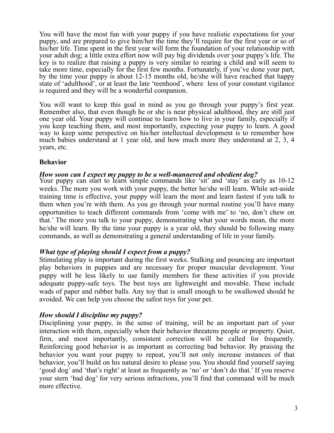You will have the most fun with your puppy if you have realistic expectations for your puppy, and are prepared to give him/her the time they'll require for the first year or so of his/her life. Time spent in the first year will form the foundation of your relationship with your adult dog; a little extra effort now will pay big dividends over your puppy's life. The key is to realize that raising a puppy is very similar to rearing a child and will seem to take more time, especially for the first few months. Fortunately, if you've done your part, by the time your puppy is about 12-15 months old, he/she will have reached that happy state of 'adulthood', or at least the late 'teenhood', where less of your constant vigilance is required and they will be a wonderful companion.

You will want to keep this goal in mind as you go through your puppy's first year. Remember also, that even though he or she is near physical adulthood, they are still just one year old. Your puppy will continue to learn how to live in your family, especially if you keep teaching them, and most importantly, expecting your puppy to learn. A good way to keep some perspective on his/her intellectual development is to remember how much babies understand at 1 year old, and how much more they understand at 2, 3, 4 years, etc.

### **Behavior**

### *How soon can I expect my puppy to be a well-mannered and obedient dog?*

Your puppy can start to learn simple commands like 'sit' and 'stay' as early as 10-12 weeks. The more you work with your puppy, the better he/she will learn. While set-aside training time is effective, your puppy will learn the most and learn fastest if you talk to them when you're with them. As you go through your normal routine you'll have many opportunities to teach different commands from 'come with me' to 'no, don't chew on that.' The more you talk to your puppy, demonstrating what your words mean, the more he/she will learn. By the time your puppy is a year old, they should be following many commands, as well as demonstrating a general understanding of life in your family.

# *What type of playing should I expect from a puppy?*

Stimulating play is important during the first weeks. Stalking and pouncing are important play behaviors in puppies and are necessary for proper muscular development. Your puppy will be less likely to use family members for these activities if you provide adequate puppy-safe toys. The best toys are lightweight and movable. These include wads of paper and rubber balls. Any toy that is small enough to be swallowed should be avoided. We can help you choose the safest toys for your pet.

#### *How should I discipline my puppy?*

Disciplining your puppy, in the sense of training, will be an important part of your interaction with them, especially when their behavior threatens people or property. Quiet, firm, and most importantly, consistent correction will be called for frequently. Reinforcing good behavior is as important as correcting bad behavior. By praising the behavior you want your puppy to repeat, you'll not only increase instances of that behavior, you'll build on his natural desire to please you. You should find yourself saying 'good dog' and 'that's right' at least as frequently as 'no' or 'don't do that.' If you reserve your stern 'bad dog' for very serious infractions, you'll find that command will be much more effective.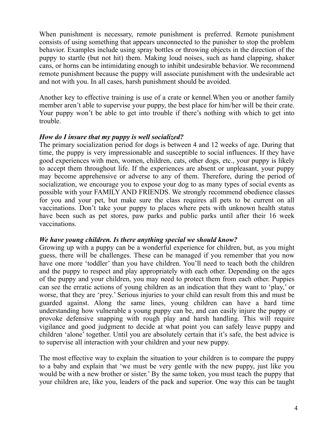When punishment is necessary, remote punishment is preferred. Remote punishment consists of using something that appears unconnected to the punisher to stop the problem behavior. Examples include using spray bottles or throwing objects in the direction of the puppy to startle (but not hit) them. Making loud noises, such as hand clapping, shaker cans, or horns can be intimidating enough to inhibit undesirable behavior. We recommend remote punishment because the puppy will associate punishment with the undesirable act and not with you. In all cases, harsh punishment should be avoided.

Another key to effective training is use of a crate or kennel.When you or another family member aren't able to supervise your puppy, the best place for him/her will be their crate. Your puppy won't be able to get into trouble if there's nothing with which to get into trouble.

# *How do I insure that my puppy is well socialized?*

The primary socialization period for dogs is between 4 and 12 weeks of age. During that time, the puppy is very impressionable and susceptible to social influences. If they have good experiences with men, women, children, cats, other dogs, etc., your puppy is likely to accept them throughout life. If the experiences are absent or unpleasant, your puppy may become apprehensive or adverse to any of them. Therefore, during the period of socialization, we encourage you to expose your dog to as many types of social events as possible with your FAMILY AND FRIENDS. We strongly recommend obedience classes for you and your pet, but make sure the class requires all pets to be current on all vaccinations. Don't take your puppy to places where pets with unknown health status have been such as pet stores, paw parks and public parks until after their 16 week vaccinations.

#### *We have young children. Is there anything special we should know?*

Growing up with a puppy can be a wonderful experience for children, but, as you might guess, there will be challenges. These can be managed if you remember that you now have one more 'toddler' than you have children. You'll need to teach both the children and the puppy to respect and play appropriately with each other. Depending on the ages of the puppy and your children, you may need to protect them from each other. Puppies can see the erratic actions of young children as an indication that they want to 'play,' or worse, that they are 'prey.' Serious injuries to your child can result from this and must be guarded against. Along the same lines, young children can have a hard time understanding how vulnerable a young puppy can be, and can easily injure the puppy or provoke defensive snapping with rough play and harsh handling. This will require vigilance and good judgment to decide at what point you can safely leave puppy and children 'alone' together. Until you are absolutely certain that it's safe, the best advice is to supervise all interaction with your children and your new puppy.

The most effective way to explain the situation to your children is to compare the puppy to a baby and explain that 'we must be very gentle with the new puppy, just like you would be with a new brother or sister.' By the same token, you must teach the puppy that your children are, like you, leaders of the pack and superior. One way this can be taught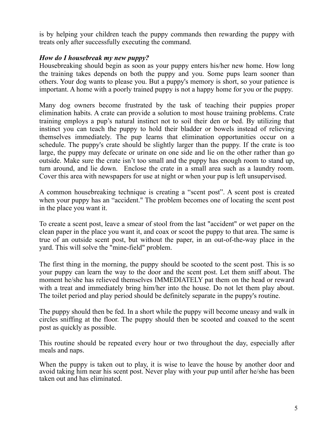is by helping your children teach the puppy commands then rewarding the puppy with treats only after successfully executing the command.

# *How do I housebreak my new puppy?*

Housebreaking should begin as soon as your puppy enters his/her new home. How long the training takes depends on both the puppy and you. Some pups learn sooner than others. Your dog wants to please you. But a puppy's memory is short, so your patience is important. A home with a poorly trained puppy is not a happy home for you or the puppy.

Many dog owners become frustrated by the task of teaching their puppies proper elimination habits. A crate can provide a solution to most house training problems. Crate training employs a pup's natural instinct not to soil their den or bed. By utilizing that instinct you can teach the puppy to hold their bladder or bowels instead of relieving themselves immediately. The pup learns that elimination opportunities occur on a schedule. The puppy's crate should be slightly larger than the puppy. If the crate is too large, the puppy may defecate or urinate on one side and lie on the other rather than go outside. Make sure the crate isn't too small and the puppy has enough room to stand up, turn around, and lie down. Enclose the crate in a small area such as a laundry room. Cover this area with newspapers for use at night or when your pup is left unsupervised.

A common housebreaking technique is creating a "scent post". A scent post is created when your puppy has an "accident." The problem becomes one of locating the scent post in the place you want it.

To create a scent post, leave a smear of stool from the last "accident" or wet paper on the clean paper in the place you want it, and coax or scoot the puppy to that area. The same is true of an outside scent post, but without the paper, in an out-of-the-way place in the yard. This will solve the "mine-field" problem.

The first thing in the morning, the puppy should be scooted to the scent post. This is so your puppy can learn the way to the door and the scent post. Let them sniff about. The moment he/she has relieved themselves IMMEDIATELY pat them on the head or reward with a treat and immediately bring him/her into the house. Do not let them play about. The toilet period and play period should be definitely separate in the puppy's routine.

The puppy should then be fed. In a short while the puppy will become uneasy and walk in circles sniffing at the floor. The puppy should then be scooted and coaxed to the scent post as quickly as possible.

This routine should be repeated every hour or two throughout the day, especially after meals and naps.

When the puppy is taken out to play, it is wise to leave the house by another door and avoid taking him near his scent post. Never play with your pup until after he/she has been taken out and has eliminated.